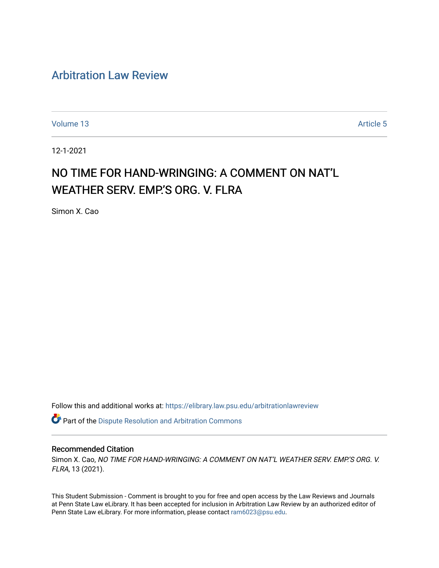# [Arbitration Law Review](https://elibrary.law.psu.edu/arbitrationlawreview)

[Volume 13](https://elibrary.law.psu.edu/arbitrationlawreview/vol13) Article 5

12-1-2021

# NO TIME FOR HAND-WRINGING: A COMMENT ON NAT'L WEATHER SERV. EMP.'S ORG. V. FLRA

Simon X. Cao

Follow this and additional works at: [https://elibrary.law.psu.edu/arbitrationlawreview](https://elibrary.law.psu.edu/arbitrationlawreview?utm_source=elibrary.law.psu.edu%2Farbitrationlawreview%2Fvol13%2Fiss1%2F5&utm_medium=PDF&utm_campaign=PDFCoverPages) 

Part of the [Dispute Resolution and Arbitration Commons](http://network.bepress.com/hgg/discipline/890?utm_source=elibrary.law.psu.edu%2Farbitrationlawreview%2Fvol13%2Fiss1%2F5&utm_medium=PDF&utm_campaign=PDFCoverPages) 

#### Recommended Citation

Simon X. Cao, NO TIME FOR HAND-WRINGING: A COMMENT ON NAT'L WEATHER SERV. EMP.'S ORG. V. FLRA, 13 (2021).

This Student Submission - Comment is brought to you for free and open access by the Law Reviews and Journals at Penn State Law eLibrary. It has been accepted for inclusion in Arbitration Law Review by an authorized editor of Penn State Law eLibrary. For more information, please contact [ram6023@psu.edu](mailto:ram6023@psu.edu).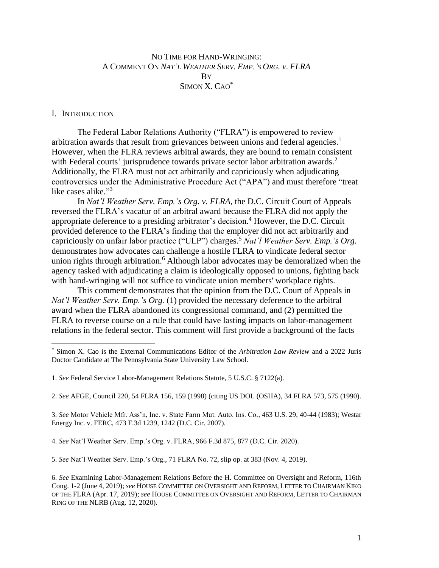## NO TIME FOR HAND-WRINGING: A COMMENT ON *NAT'L WEATHER SERV. EMP.'S ORG. V. FLRA* **B**Y SIMON X. CAO\*

#### I. INTRODUCTION

The Federal Labor Relations Authority ("FLRA") is empowered to review arbitration awards that result from grievances between unions and federal agencies.<sup>1</sup> However, when the FLRA reviews arbitral awards, they are bound to remain consistent with Federal courts' jurisprudence towards private sector labor arbitration awards.<sup>2</sup> Additionally, the FLRA must not act arbitrarily and capriciously when adjudicating controversies under the Administrative Procedure Act ("APA") and must therefore "treat like cases alike."<sup>3</sup>

In *Nat'l Weather Serv. Emp.'s Org. v. FLRA*, the D.C. Circuit Court of Appeals reversed the FLRA's vacatur of an arbitral award because the FLRA did not apply the appropriate deference to a presiding arbitrator's decision. <sup>4</sup> However, the D.C. Circuit provided deference to the FLRA's finding that the employer did not act arbitrarily and capriciously on unfair labor practice ("ULP") charges. <sup>5</sup> *Nat'l Weather Serv. Emp.'s Org.* demonstrates how advocates can challenge a hostile FLRA to vindicate federal sector union rights through arbitration. <sup>6</sup> Although labor advocates may be demoralized when the agency tasked with adjudicating a claim is ideologically opposed to unions, fighting back with hand-wringing will not suffice to vindicate union members' workplace rights.

This comment demonstrates that the opinion from the D.C. Court of Appeals in *Nat'l Weather Serv. Emp.'s Org.* (1) provided the necessary deference to the arbitral award when the FLRA abandoned its congressional command, and (2) permitted the FLRA to reverse course on a rule that could have lasting impacts on labor-management relations in the federal sector. This comment will first provide a background of the facts

3. *See* Motor Vehicle Mfr. Ass'n, Inc. v. State Farm Mut. Auto. Ins. Co*.*, 463 U.S. 29, 40-44 (1983); Westar Energy Inc. v. FERC, 473 F.3d 1239, 1242 (D.C. Cir. 2007).

4. *See* Nat'l Weather Serv. Emp.'s Org. v. FLRA, 966 F.3d 875, 877 (D.C. Cir. 2020).

5. *See* Nat'l Weather Serv. Emp.'s Org*.*, 71 FLRA No. 72, slip op. at 383 (Nov. 4, 2019).

<sup>\*</sup> Simon X. Cao is the External Communications Editor of the *Arbitration Law Review* and a 2022 Juris Doctor Candidate at The Pennsylvania State University Law School.

<sup>1.</sup> *See* Federal Service Labor-Management Relations Statute, 5 U.S.C. § 7122(a).

<sup>2.</sup> *See* AFGE, Council 220, 54 FLRA 156, 159 (1998) (citing US DOL (OSHA), 34 FLRA 573, 575 (1990).

<sup>6.</sup> *See* Examining Labor-Management Relations Before the H. Committee on Oversight and Reform, 116th Cong. 1-2 (June 4, 2019); *see* HOUSE COMMITTEE ON OVERSIGHT AND REFORM, LETTER TO CHAIRMAN KIKO OF THE FLRA (Apr. 17, 2019); *see* HOUSE COMMITTEE ON OVERSIGHT AND REFORM, LETTER TO CHAIRMAN RING OF THE NLRB (Aug. 12, 2020).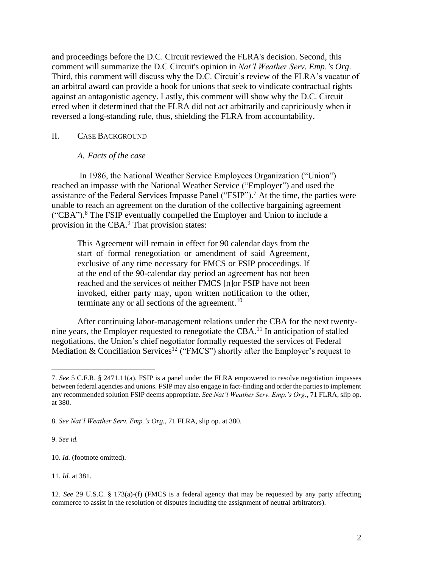and proceedings before the D.C. Circuit reviewed the FLRA's decision. Second, this comment will summarize the D.C Circuit's opinion in *Nat'l Weather Serv. Emp.'s Org*. Third, this comment will discuss why the D.C. Circuit's review of the FLRA's vacatur of an arbitral award can provide a hook for unions that seek to vindicate contractual rights against an antagonistic agency. Lastly, this comment will show why the D.C. Circuit erred when it determined that the FLRA did not act arbitrarily and capriciously when it reversed a long-standing rule, thus, shielding the FLRA from accountability.

#### II. CASE BACKGROUND

#### *A. Facts of the case*

In 1986, the National Weather Service Employees Organization ("Union") reached an impasse with the National Weather Service ("Employer") and used the assistance of the Federal Services Impasse Panel ("FSIP").<sup>7</sup> At the time, the parties were unable to reach an agreement on the duration of the collective bargaining agreement ("CBA"). <sup>8</sup> The FSIP eventually compelled the Employer and Union to include a provision in the CBA.<sup>9</sup> That provision states:

This Agreement will remain in effect for 90 calendar days from the start of formal renegotiation or amendment of said Agreement, exclusive of any time necessary for FMCS or FSIP proceedings. If at the end of the 90-calendar day period an agreement has not been reached and the services of neither FMCS [n]or FSIP have not been invoked, either party may, upon written notification to the other, terminate any or all sections of the agreement.<sup>10</sup>

After continuing labor-management relations under the CBA for the next twentynine years, the Employer requested to renegotiate the CBA.<sup>11</sup> In anticipation of stalled negotiations, the Union's chief negotiator formally requested the services of Federal Mediation & Conciliation Services<sup>12</sup> ("FMCS") shortly after the Employer's request to

9. *See id.*

10. *Id.* (footnote omitted).

11. *Id.* at 381.

<sup>7.</sup> *See* 5 C.F.R. § 2471.11(a). FSIP is a panel under the FLRA empowered to resolve negotiation impasses between federal agencies and unions. FSIP may also engage in fact-finding and order the parties to implement any recommended solution FSIP deems appropriate. *See Nat'l Weather Serv. Emp.'s Org.*, 71 FLRA, slip op. at 380.

<sup>8.</sup> *See Nat'l Weather Serv. Emp.'s Org.*, 71 FLRA, slip op. at 380.

<sup>12.</sup> *See* 29 U.S.C. § 173(a)-(f) (FMCS is a federal agency that may be requested by any party affecting commerce to assist in the resolution of disputes including the assignment of neutral arbitrators).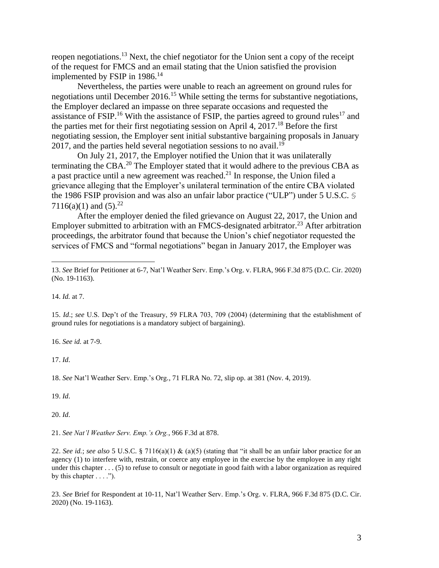reopen negotiations.<sup>13</sup> Next, the chief negotiator for the Union sent a copy of the receipt of the request for FMCS and an email stating that the Union satisfied the provision implemented by FSIP in  $1986$ <sup>14</sup>

Nevertheless, the parties were unable to reach an agreement on ground rules for negotiations until December 2016.<sup>15</sup> While setting the terms for substantive negotiations, the Employer declared an impasse on three separate occasions and requested the assistance of FSIP.<sup>16</sup> With the assistance of FSIP, the parties agreed to ground rules<sup>17</sup> and the parties met for their first negotiating session on April 4,  $2017<sup>18</sup>$  Before the first negotiating session, the Employer sent initial substantive bargaining proposals in January 2017, and the parties held several negotiation sessions to no avail.<sup>19</sup>

On July 21, 2017, the Employer notified the Union that it was unilaterally terminating the CBA.<sup>20</sup> The Employer stated that it would adhere to the previous CBA as a past practice until a new agreement was reached.<sup>21</sup> In response, the Union filed a grievance alleging that the Employer's unilateral termination of the entire CBA violated the 1986 FSIP provision and was also an unfair labor practice ("ULP") under 5 U.S.C. § 7116(a)(1) and  $(5).^{22}$ 

After the employer denied the filed grievance on August 22, 2017, the Union and Employer submitted to arbitration with an FMCS-designated arbitrator.<sup>23</sup> After arbitration proceedings, the arbitrator found that because the Union's chief negotiator requested the services of FMCS and "formal negotiations" began in January 2017, the Employer was

14. *Id.* at 7.

15. *Id*.; *see* U.S. Dep't of the Treasury, 59 FLRA 703, 709 (2004) (determining that the establishment of ground rules for negotiations is a mandatory subject of bargaining).

16. *See id.* at 7-9.

17. *Id*.

18. *See* Nat'l Weather Serv. Emp.'s Org*.*, 71 FLRA No. 72, slip op. at 381 (Nov. 4, 2019).

19. *Id*.

20. *Id*.

21. *See Nat'l Weather Serv. Emp.'s Org.*, 966 F.3d at 878.

22. *See id.*; *see also* 5 U.S.C. § 7116(a)(1) & (a)(5) (stating that "it shall be an unfair labor practice for an agency (1) to interfere with, restrain, or coerce any employee in the exercise by the employee in any right under this chapter . . . (5) to refuse to consult or negotiate in good faith with a labor organization as required by this chapter  $\dots$ .").

23. *See* Brief for Respondent at 10-11, Nat'l Weather Serv. Emp.'s Org. v. FLRA, 966 F.3d 875 (D.C. Cir. 2020) (No. 19-1163).

<sup>13.</sup> *See* Brief for Petitioner at 6-7, Nat'l Weather Serv. Emp.'s Org. v. FLRA, 966 F.3d 875 (D.C. Cir. 2020) (No. 19-1163).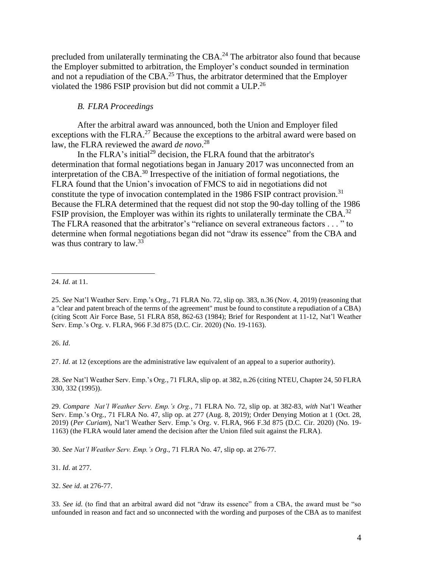precluded from unilaterally terminating the CBA.<sup>24</sup> The arbitrator also found that because the Employer submitted to arbitration, the Employer's conduct sounded in termination and not a repudiation of the CBA. $^{25}$  Thus, the arbitrator determined that the Employer violated the 1986 FSIP provision but did not commit a ULP.<sup>26</sup>

#### *B. FLRA Proceedings*

After the arbitral award was announced, both the Union and Employer filed exceptions with the FLRA.<sup>27</sup> Because the exceptions to the arbitral award were based on law, the FLRA reviewed the award *de novo*. 28

In the FLRA's initial<sup>29</sup> decision, the FLRA found that the arbitrator's determination that formal negotiations began in January 2017 was unconnected from an interpretation of the CBA.<sup>30</sup> Irrespective of the initiation of formal negotiations, the FLRA found that the Union's invocation of FMCS to aid in negotiations did not constitute the type of invocation contemplated in the 1986 FSIP contract provision.<sup>31</sup> Because the FLRA determined that the request did not stop the 90-day tolling of the 1986 FSIP provision, the Employer was within its rights to unilaterally terminate the CBA.<sup>32</sup> The FLRA reasoned that the arbitrator's "reliance on several extraneous factors . . . " to determine when formal negotiations began did not "draw its essence" from the CBA and was thus contrary to law.<sup>33</sup>

26. *Id*.

27. *Id*. at 12 (exceptions are the administrative law equivalent of an appeal to a superior authority).

28. *See* Nat'l Weather Serv. Emp.'s Org*.*, 71 FLRA, slip op. at 382, n.26 (citing NTEU, Chapter 24, 50 FLRA 330, 332 (1995)).

29. *Compare Nat'l Weather Serv. Emp.'s Org.*, 71 FLRA No. 72, slip op. at 382-83, *with* Nat'l Weather Serv. Emp.'s Org*.*, 71 FLRA No. 47, slip op. at 277 (Aug. 8, 2019); Order Denying Motion at 1 (Oct. 28, 2019) (*Per Curiam*), Nat'l Weather Serv. Emp.'s Org. v. FLRA, 966 F.3d 875 (D.C. Cir. 2020) (No. 19- 1163) (the FLRA would later amend the decision after the Union filed suit against the FLRA).

30. *See Nat'l Weather Serv. Emp.'s Org.*, 71 FLRA No. 47, slip op. at 276-77.

31. *Id*. at 277.

32. *See id*. at 276-77.

33*. See id.* (to find that an arbitral award did not "draw its essence" from a CBA, the award must be "so unfounded in reason and fact and so unconnected with the wording and purposes of the CBA as to manifest

<sup>24.</sup> *Id*. at 11.

<sup>25.</sup> *See* Nat'l Weather Serv. Emp.'s Org*.*, 71 FLRA No. 72, slip op. 383, n.36 (Nov. 4, 2019) (reasoning that a "clear and patent breach of the terms of the agreement" must be found to constitute a repudiation of a CBA) (citing Scott Air Force Base, 51 FLRA 858, 862-63 (1984); Brief for Respondent at 11-12, Nat'l Weather Serv. Emp.'s Org. v. FLRA, 966 F.3d 875 (D.C. Cir. 2020) (No. 19-1163).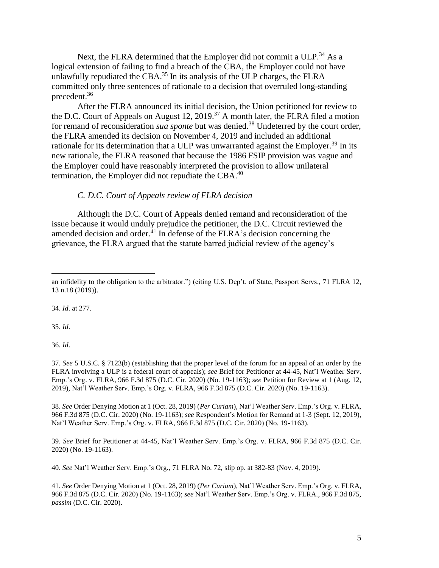Next, the FLRA determined that the Employer did not commit a ULP.<sup>34</sup> As a logical extension of failing to find a breach of the CBA, the Employer could not have unlawfully repudiated the CBA.<sup>35</sup> In its analysis of the ULP charges, the FLRA committed only three sentences of rationale to a decision that overruled long-standing precedent. 36

After the FLRA announced its initial decision, the Union petitioned for review to the D.C. Court of Appeals on August 12, 2019.<sup>37</sup> A month later, the FLRA filed a motion for remand of reconsideration *sua sponte* but was denied.<sup>38</sup> Undeterred by the court order, the FLRA amended its decision on November 4, 2019 and included an additional rationale for its determination that a ULP was unwarranted against the Employer.<sup>39</sup> In its new rationale, the FLRA reasoned that because the 1986 FSIP provision was vague and the Employer could have reasonably interpreted the provision to allow unilateral termination, the Employer did not repudiate the CBA.<sup>40</sup>

#### *C. D.C. Court of Appeals review of FLRA decision*

Although the D.C. Court of Appeals denied remand and reconsideration of the issue because it would unduly prejudice the petitioner, the D.C. Circuit reviewed the amended decision and order. $^{41}$  In defense of the FLRA's decision concerning the grievance, the FLRA argued that the statute barred judicial review of the agency's

34. *Id*. at 277.

35. *Id*.

36. *Id*.

37. *See* 5 U.S.C. § 7123(b) (establishing that the proper level of the forum for an appeal of an order by the FLRA involving a ULP is a federal court of appeals); *see* Brief for Petitioner at 44-45, Nat'l Weather Serv. Emp.'s Org. v. FLRA, 966 F.3d 875 (D.C. Cir. 2020) (No. 19-1163); *see* Petition for Review at 1 (Aug. 12, 2019), Nat'l Weather Serv. Emp.'s Org. v. FLRA, 966 F.3d 875 (D.C. Cir. 2020) (No. 19-1163).

38. *See* Order Denying Motion at 1 (Oct. 28, 2019) (*Per Curiam*), Nat'l Weather Serv. Emp.'s Org. v. FLRA, 966 F.3d 875 (D.C. Cir. 2020) (No. 19-1163); *see* Respondent's Motion for Remand at 1-3 (Sept. 12, 2019), Nat'l Weather Serv. Emp.'s Org. v. FLRA, 966 F.3d 875 (D.C. Cir. 2020) (No. 19-1163).

39. *See* Brief for Petitioner at 44-45, Nat'l Weather Serv. Emp.'s Org. v. FLRA, 966 F.3d 875 (D.C. Cir. 2020) (No. 19-1163).

40. *See* Nat'l Weather Serv. Emp.'s Org*.*, 71 FLRA No. 72, slip op. at 382-83 (Nov. 4, 2019).

41. *See* Order Denying Motion at 1 (Oct. 28, 2019) (*Per Curiam*), Nat'l Weather Serv. Emp.'s Org. v. FLRA, 966 F.3d 875 (D.C. Cir. 2020) (No. 19-1163); *see* Nat'l Weather Serv. Emp.'s Org. v. FLRA*.*, 966 F.3d 875, *passim* (D.C. Cir. 2020).

an infidelity to the obligation to the arbitrator.") (citing U.S. Dep't. of State, Passport Servs., 71 FLRA 12, 13 n.18 (2019)).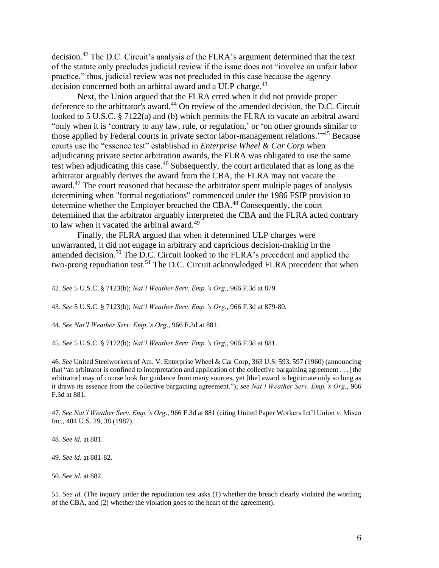decision.<sup>42</sup> The D.C. Circuit's analysis of the FLRA's argument determined that the text of the statute only precludes judicial review if the issue does not "involve an unfair labor practice," thus, judicial review was not precluded in this case because the agency decision concerned both an arbitral award and a ULP charge.<sup>43</sup>

Next, the Union argued that the FLRA erred when it did not provide proper deference to the arbitrator's award.<sup>44</sup> On review of the amended decision, the D.C. Circuit looked to 5 U.S.C. § 7122(a) and (b) which permits the FLRA to vacate an arbitral award "only when it is 'contrary to any law, rule, or regulation,' or 'on other grounds similar to those applied by Federal courts in private sector labor-management relations."<sup>45</sup> Because courts use the "essence test" established in *Enterprise Wheel & Car Corp* when adjudicating private sector arbitration awards, the FLRA was obligated to use the same test when adjudicating this case.<sup>46</sup> Subsequently, the court articulated that as long as the arbitrator arguably derives the award from the CBA, the FLRA may not vacate the award.<sup>47</sup> The court reasoned that because the arbitrator spent multiple pages of analysis determining when "formal negotiations" commenced under the 1986 FSIP provision to determine whether the Employer breached the CBA.<sup>48</sup> Consequently, the court determined that the arbitrator arguably interpreted the CBA and the FLRA acted contrary to law when it vacated the arbitral award.<sup>49</sup>

Finally, the FLRA argued that when it determined ULP charges were unwarranted, it did not engage in arbitrary and capricious decision-making in the amended decision.<sup>50</sup> The D.C. Circuit looked to the FLRA's precedent and applied the two-prong repudiation test.<sup>51</sup> The D.C. Circuit acknowledged FLRA precedent that when

43. *See* 5 U.S.C. § 7123(b); *Nat'l Weather Serv. Emp.'s Org.*, 966 F.3d at 879-80.

44. *See Nat'l Weather Serv. Emp.'s Org.*, 966 F.3d at 881.

45. *See* 5 U.S.C. § 7122(b); *Nat'l Weather Serv. Emp.'s Org.*, 966 F.3d at 881.

46. *See* United Steelworkers of Am. V. Enterprise Wheel & Car Corp, 363 U.S. 593, 597 (1960) (announcing that "an arbitrator is confined to interpretation and application of the collective bargaining agreement . . . [the arbitrator] may of course look for guidance from many sources, yet [the] award is legitimate only so long as it draws its essence from the collective bargaining agreement."); *see Nat'l Weather Serv. Emp.'s Org.*, 966 F.3d at 881.

47. *See Nat'l Weather Serv. Emp.'s Org.*, 966 F.3d at 881 (citing United Paper Workers Int'l Union v. Misco Inc., 484 U.S. 29, 38 (1987).

48. *See id*. at 881.

49. *See id*. at 881-82.

50. *See id*. at 882.

51. *See id.* (The inquiry under the repudiation test asks (1) whether the breach clearly violated the wording of the CBA, and (2) whether the violation goes to the heart of the agreement).

<sup>42.</sup> *See* 5 U.S.C. § 7123(b); *Nat'l Weather Serv. Emp.'s Org.*, 966 F.3d at 879.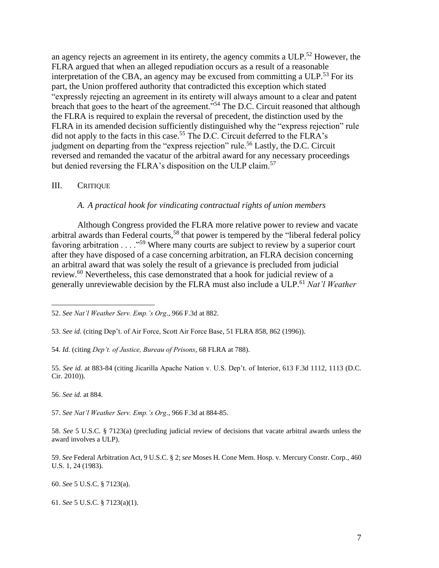an agency rejects an agreement in its entirety, the agency commits a ULP.<sup>52</sup> However, the FLRA argued that when an alleged repudiation occurs as a result of a reasonable interpretation of the CBA, an agency may be excused from committing a  $ULP<sup>53</sup>$  For its part, the Union proffered authority that contradicted this exception which stated "expressly rejecting an agreement in its entirety will always amount to a clear and patent breach that goes to the heart of the agreement."<sup>54</sup> The D.C. Circuit reasoned that although the FLRA is required to explain the reversal of precedent, the distinction used by the FLRA in its amended decision sufficiently distinguished why the "express rejection" rule did not apply to the facts in this case.<sup>55</sup> The D.C. Circuit deferred to the FLRA's judgment on departing from the "express rejection" rule.<sup>56</sup> Lastly, the D.C. Circuit reversed and remanded the vacatur of the arbitral award for any necessary proceedings but denied reversing the FLRA's disposition on the ULP claim.<sup>57</sup>

### III. CRITIQUE

#### *A. A practical hook for vindicating contractual rights of union members*

Although Congress provided the FLRA more relative power to review and vacate arbitral awards than Federal courts,<sup>58</sup> that power is tempered by the "liberal federal policy favoring arbitration . . . ."<sup>59</sup> Where many courts are subject to review by a superior court after they have disposed of a case concerning arbitration, an FLRA decision concerning an arbitral award that was solely the result of a grievance is precluded from judicial review.<sup>60</sup> Nevertheless, this case demonstrated that a hook for judicial review of a generally unreviewable decision by the FLRA must also include a ULP. <sup>61</sup> *Nat'l Weather* 

56. *See id.* at 884.

57. *See Nat'l Weather Serv. Emp.'s Org.*, 966 F.3d at 884-85.

58. *See* 5 U.S.C. § 7123(a) (precluding judicial review of decisions that vacate arbitral awards unless the award involves a ULP).

59. *See* Federal Arbitration Act, 9 U.S.C. § 2; *see* Moses H. Cone Mem. Hosp. v. Mercury Constr. Corp., 460 U.S. 1, 24 (1983).

<sup>52.</sup> *See Nat'l Weather Serv. Emp.'s Org.*, 966 F.3d at 882.

<sup>53.</sup> *See id.* (citing Dep't. of Air Force, Scott Air Force Base, 51 FLRA 858, 862 (1996)).

<sup>54</sup>*. Id.* (citing *Dep't. of Justice, Bureau of Prisons*, 68 FLRA at 788).

<sup>55.</sup> *See id.* at 883-84 (citing Jicarilla Apache Nation v. U.S. Dep't. of Interior, 613 F.3d 1112, 1113 (D.C. Cir. 2010)).

<sup>60.</sup> *See* 5 U.S.C. § 7123(a).

<sup>61.</sup> *See* 5 U.S.C. § 7123(a)(1).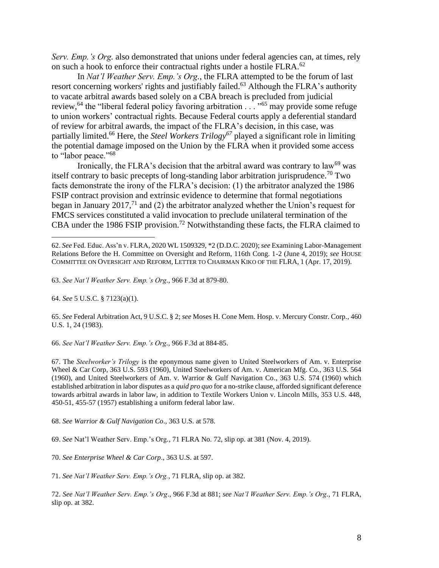*Serv. Emp.'s Org.* also demonstrated that unions under federal agencies can, at times, rely on such a hook to enforce their contractual rights under a hostile FLRA.<sup>62</sup>

In *Nat'l Weather Serv. Emp.'s Org.*, the FLRA attempted to be the forum of last resort concerning workers' rights and justifiably failed.<sup>63</sup> Although the FLRA's authority to vacate arbitral awards based solely on a CBA breach is precluded from judicial review,<sup>64</sup> the "liberal federal policy favoring arbitration . . . "<sup>65</sup> may provide some refuge to union workers' contractual rights. Because Federal courts apply a deferential standard of review for arbitral awards, the impact of the FLRA's decision, in this case, was partially limited. <sup>66</sup> Here, the *Steel Workers Trilogy<sup>67</sup>* played a significant role in limiting the potential damage imposed on the Union by the FLRA when it provided some access to "labor peace."<sup>68</sup>

Ironically, the FLRA's decision that the arbitral award was contrary to law<sup>69</sup> was itself contrary to basic precepts of long-standing labor arbitration jurisprudence.<sup>70</sup> Two facts demonstrate the irony of the FLRA's decision: (1) the arbitrator analyzed the 1986 FSIP contract provision and extrinsic evidence to determine that formal negotiations began in January 2017, $71$  and (2) the arbitrator analyzed whether the Union's request for FMCS services constituted a valid invocation to preclude unilateral termination of the CBA under the 1986 FSIP provision.<sup>72</sup> Notwithstanding these facts, the FLRA claimed to

63. *See Nat'l Weather Serv. Emp.'s Org.*, 966 F.3d at 879-80.

64. *See* 5 U.S.C. § 7123(a)(1).

65. *See* Federal Arbitration Act, 9 U.S.C. § 2; *see* Moses H. Cone Mem. Hosp. v. Mercury Constr. Corp., 460 U.S. 1, 24 (1983).

66. *See Nat'l Weather Serv. Emp.'s Org.*, 966 F.3d at 884-85.

67. The *Steelworker's Trilogy* is the eponymous name given to United Steelworkers of Am. v. Enterprise Wheel & Car Corp, 363 U.S. 593 (1960), United Steelworkers of Am. v. American Mfg. Co*.*, 363 U.S. 564 (1960), and United Steelworkers of Am. v. Warrior & Gulf Navigation Co*.*, 363 U.S. 574 (1960) which established arbitration in labor disputes as a *quid pro quo* for a no-strike clause, afforded significant deference towards arbitral awards in labor law, in addition to Textile Workers Union v. Lincoln Mills, 353 U.S. 448, 450-51, 455-57 (1957) establishing a uniform federal labor law.

68. *See Warrior & Gulf Navigation Co*., 363 U.S. at 578.

69. *See* Nat'l Weather Serv. Emp.'s Org*.*, 71 FLRA No. 72, slip op. at 381 (Nov. 4, 2019).

70. *See Enterprise Wheel & Car Corp*., 363 U.S. at 597.

71. *See Nat'l Weather Serv. Emp.'s Org.*, 71 FLRA, slip op. at 382.

72. *See Nat'l Weather Serv. Emp.'s Org*., 966 F.3d at 881; *see Nat'l Weather Serv. Emp.'s Org.*, 71 FLRA, slip op. at 382.

<sup>62.</sup> *See* Fed. Educ. Ass'n v. FLRA, 2020 WL 1509329, \*2 (D.D.C. 2020); *see* Examining Labor-Management Relations Before the H. Committee on Oversight and Reform, 116th Cong. 1-2 (June 4, 2019); *see* HOUSE COMMITTEE ON OVERSIGHT AND REFORM, LETTER TO CHAIRMAN KIKO OF THE FLRA, 1 (Apr. 17, 2019).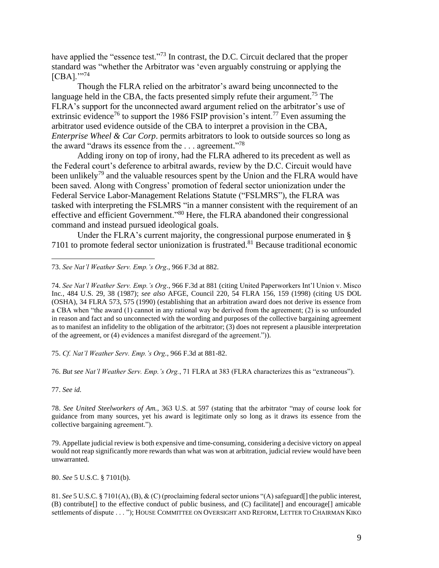have applied the "essence test."<sup>73</sup> In contrast, the D.C. Circuit declared that the proper standard was "whether the Arbitrator was 'even arguably construing or applying the [CBA]."<sup>74</sup>

Though the FLRA relied on the arbitrator's award being unconnected to the language held in the CBA, the facts presented simply refute their argument.<sup>75</sup> The FLRA's support for the unconnected award argument relied on the arbitrator's use of extrinsic evidence<sup>76</sup> to support the 1986 FSIP provision's intent.<sup>77</sup> Even assuming the arbitrator used evidence outside of the CBA to interpret a provision in the CBA, *Enterprise Wheel & Car Corp.* permits arbitrators to look to outside sources so long as the award "draws its essence from the  $\dots$  agreement."<sup>78</sup>

Adding irony on top of irony, had the FLRA adhered to its precedent as well as the Federal court's deference to arbitral awards, review by the D.C. Circuit would have been unlikely<sup>79</sup> and the valuable resources spent by the Union and the FLRA would have been saved. Along with Congress' promotion of federal sector unionization under the Federal Service Labor-Management Relations Statute ("FSLMRS"), the FLRA was tasked with interpreting the FSLMRS "in a manner consistent with the requirement of an effective and efficient Government."<sup>80</sup> Here, the FLRA abandoned their congressional command and instead pursued ideological goals.

Under the FLRA's current majority, the congressional purpose enumerated in § 7101 to promote federal sector unionization is frustrated.<sup>81</sup> Because traditional economic

73. *See Nat'l Weather Serv. Emp.'s Org.*, 966 F.3d at 882.

74. *See Nat'l Weather Serv. Emp.'s Org.*, 966 F.3d at 881 (citing United Paperworkers Int'l Union v. Misco Inc*.*, 484 U.S. 29, 38 (1987); *see also* AFGE, Council 220, 54 FLRA 156, 159 (1998) (citing US DOL (OSHA), 34 FLRA 573, 575 (1990) (establishing that an arbitration award does not derive its essence from a CBA when "the award (1) cannot in any rational way be derived from the agreement; (2) is so unfounded in reason and fact and so unconnected with the wording and purposes of the collective bargaining agreement as to manifest an infidelity to the obligation of the arbitrator; (3) does not represent a plausible interpretation of the agreement, or (4) evidences a manifest disregard of the agreement.")).

75. *Cf. Nat'l Weather Serv. Emp.'s Org.*, 966 F.3d at 881-82.

76. *But see Nat'l Weather Serv. Emp.'s Org.*, 71 FLRA at 383 (FLRA characterizes this as "extraneous").

77. *See id.*

78. *See United Steelworkers of Am.*, 363 U.S. at 597 (stating that the arbitrator "may of course look for guidance from many sources, yet his award is legitimate only so long as it draws its essence from the collective bargaining agreement.").

79. Appellate judicial review is both expensive and time-consuming, considering a decisive victory on appeal would not reap significantly more rewards than what was won at arbitration, judicial review would have been unwarranted.

80. *See* 5 U.S.C. § 7101(b).

81. *See* 5 U.S.C. § 7101(A), (B), & (C) (proclaiming federal sector unions "(A) safeguard[] the public interest, (B) contribute[] to the effective conduct of public business, and (C) facilitate[] and encourage[] amicable settlements of dispute . . . "); HOUSE COMMITTEE ON OVERSIGHT AND REFORM, LETTER TO CHAIRMAN KIKO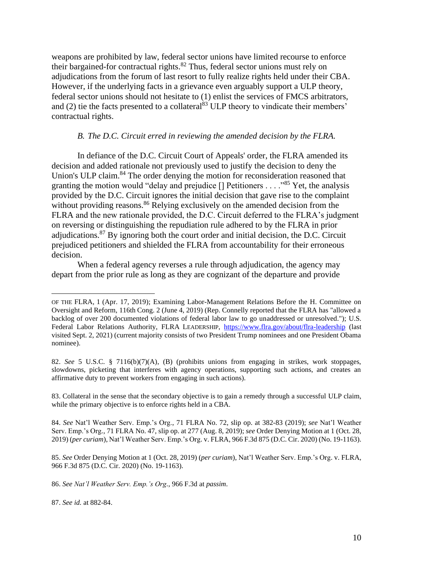weapons are prohibited by law, federal sector unions have limited recourse to enforce their bargained-for contractual rights.<sup>82</sup> Thus, federal sector unions must rely on adjudications from the forum of last resort to fully realize rights held under their CBA. However, if the underlying facts in a grievance even arguably support a ULP theory, federal sector unions should not hesitate to (1) enlist the services of FMCS arbitrators, and (2) tie the facts presented to a collateral<sup>83</sup> ULP theory to vindicate their members' contractual rights.

#### *B. The D.C. Circuit erred in reviewing the amended decision by the FLRA.*

In defiance of the D.C. Circuit Court of Appeals' order, the FLRA amended its decision and added rationale not previously used to justify the decision to deny the Union's ULP claim.<sup>84</sup> The order denying the motion for reconsideration reasoned that granting the motion would "delay and prejudice  $[]$  Petitioners . . . . . .<sup>985</sup> Yet, the analysis provided by the D.C. Circuit ignores the initial decision that gave rise to the complaint without providing reasons.<sup>86</sup> Relying exclusively on the amended decision from the FLRA and the new rationale provided, the D.C. Circuit deferred to the FLRA's judgment on reversing or distinguishing the repudiation rule adhered to by the FLRA in prior adjudications.<sup>87</sup> By ignoring both the court order and initial decision, the D.C. Circuit prejudiced petitioners and shielded the FLRA from accountability for their erroneous decision.

When a federal agency reverses a rule through adjudication, the agency may depart from the prior rule as long as they are cognizant of the departure and provide

OF THE FLRA, 1 (Apr. 17, 2019); Examining Labor-Management Relations Before the H. Committee on Oversight and Reform, 116th Cong. 2 (June 4, 2019) (Rep. Connelly reported that the FLRA has "allowed a backlog of over 200 documented violations of federal labor law to go unaddressed or unresolved."); U.S. Federal Labor Relations Authority, FLRA LEADERSHIP, <https://www.flra.gov/about/flra-leadership> (last visited Sept. 2, 2021) (current majority consists of two President Trump nominees and one President Obama nominee).

<sup>82.</sup> *See* 5 U.S.C. § 7116(b)(7)(A), (B) (prohibits unions from engaging in strikes, work stoppages, slowdowns, picketing that interferes with agency operations, supporting such actions, and creates an affirmative duty to prevent workers from engaging in such actions).

<sup>83.</sup> Collateral in the sense that the secondary objective is to gain a remedy through a successful ULP claim, while the primary objective is to enforce rights held in a CBA.

<sup>84.</sup> *See* Nat'l Weather Serv. Emp.'s Org., 71 FLRA No. 72, slip op. at 382-83 (2019); *see* Nat'l Weather Serv. Emp.'s Org*.*, 71 FLRA No. 47, slip op. at 277 (Aug. 8, 2019); *see* Order Denying Motion at 1 (Oct. 28, 2019) (*per curiam*), Nat'l Weather Serv. Emp.'s Org. v. FLRA, 966 F.3d 875 (D.C. Cir. 2020) (No. 19-1163).

<sup>85.</sup> *See* Order Denying Motion at 1 (Oct. 28, 2019) (*per curiam*), Nat'l Weather Serv. Emp.'s Org. v. FLRA, 966 F.3d 875 (D.C. Cir. 2020) (No. 19-1163).

<sup>86.</sup> *See Nat'l Weather Serv. Emp.'s Org.*, 966 F.3d at *passim*.

<sup>87.</sup> *See id.* at 882-84.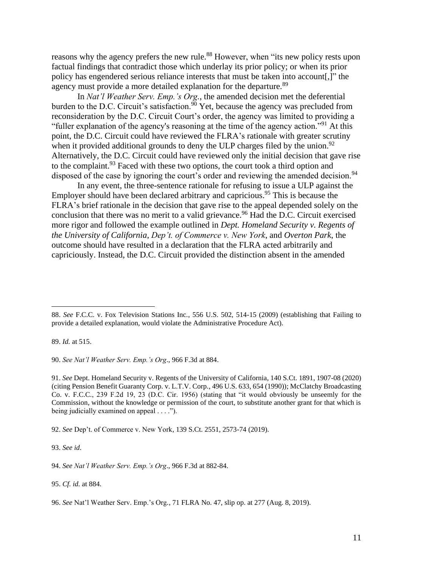reasons why the agency prefers the new rule.<sup>88</sup> However, when "its new policy rests upon factual findings that contradict those which underlay its prior policy; or when its prior policy has engendered serious reliance interests that must be taken into account[,]" the agency must provide a more detailed explanation for the departure.<sup>89</sup>

In *Nat'l Weather Serv. Emp.'s Org.*, the amended decision met the deferential burden to the D.C. Circuit's satisfaction.<sup>90</sup> Yet, because the agency was precluded from reconsideration by the D.C. Circuit Court's order, the agency was limited to providing a "fuller explanation of the agency's reasoning at the time of the agency action."<sup>91</sup> At this point, the D.C. Circuit could have reviewed the FLRA's rationale with greater scrutiny when it provided additional grounds to deny the ULP charges filed by the union.<sup>92</sup> Alternatively, the D.C. Circuit could have reviewed only the initial decision that gave rise to the complaint.  $93$  Faced with these two options, the court took a third option and disposed of the case by ignoring the court's order and reviewing the amended decision.<sup>94</sup>

In any event, the three-sentence rationale for refusing to issue a ULP against the Employer should have been declared arbitrary and capricious.<sup>95</sup> This is because the FLRA's brief rationale in the decision that gave rise to the appeal depended solely on the conclusion that there was no merit to a valid grievance.<sup>96</sup> Had the D.C. Circuit exercised more rigor and followed the example outlined in *Dept. Homeland Security v. Regents of the University of California*, *Dep't. of Commerce v. New York*, and *Overton Park*, the outcome should have resulted in a declaration that the FLRA acted arbitrarily and capriciously. Instead, the D.C. Circuit provided the distinction absent in the amended

89. *Id.* at 515.

90. *See Nat'l Weather Serv. Emp.'s Org*., 966 F.3d at 884.

91. *See* Dept. Homeland Security v. Regents of the University of California, 140 S.Ct. 1891, 1907-08 (2020) (citing Pension Benefit Guaranty Corp. v. L.T.V. Corp*.*, 496 U.S. 633, 654 (1990)); McClatchy Broadcasting Co. v. F.C.C., 239 F.2d 19, 23 (D.C. Cir. 1956) (stating that "it would obviously be unseemly for the Commission, without the knowledge or permission of the court, to substitute another grant for that which is being judicially examined on appeal . . . .").

92. *See* Dep't. of Commerce v. New York, 139 S.Ct. 2551, 2573-74 (2019).

93. *See id*.

94. *See Nat'l Weather Serv. Emp.'s Org*., 966 F.3d at 882-84.

95. *Cf. id.* at 884.

96. *See* Nat'l Weather Serv. Emp.'s Org*.*, 71 FLRA No. 47, slip op. at 277 (Aug. 8, 2019).

<sup>88.</sup> *See* F.C.C. v. Fox Television Stations Inc., 556 U.S. 502, 514-15 (2009) (establishing that Failing to provide a detailed explanation, would violate the Administrative Procedure Act).